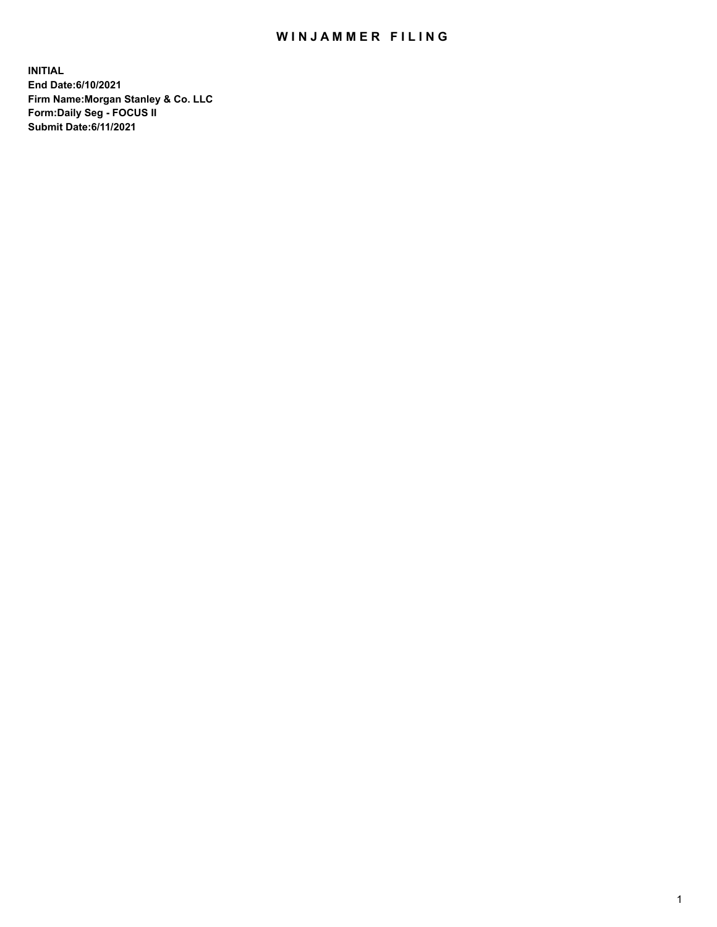## WIN JAMMER FILING

**INITIAL End Date:6/10/2021 Firm Name:Morgan Stanley & Co. LLC Form:Daily Seg - FOCUS II Submit Date:6/11/2021**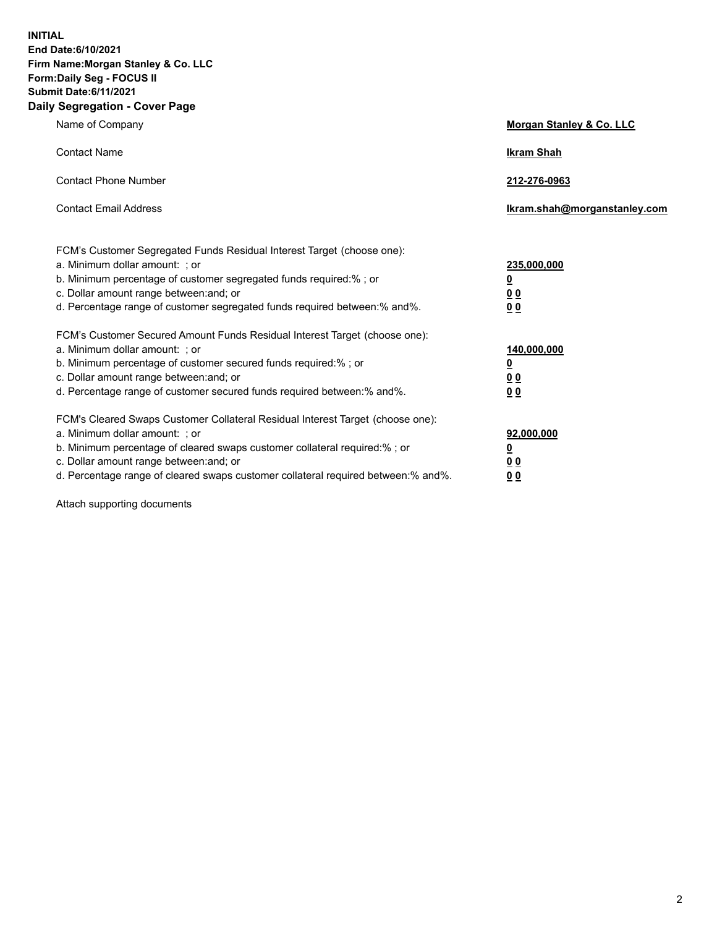**INITIAL End Date:6/10/2021 Firm Name:Morgan Stanley & Co. LLC Form:Daily Seg - FOCUS II Submit Date:6/11/2021 Daily Segregation - Cover Page**

| Name of Company                                                                                                                                                                                                                                                                                                                | Morgan Stanley & Co. LLC                                |
|--------------------------------------------------------------------------------------------------------------------------------------------------------------------------------------------------------------------------------------------------------------------------------------------------------------------------------|---------------------------------------------------------|
| <b>Contact Name</b>                                                                                                                                                                                                                                                                                                            | <b>Ikram Shah</b>                                       |
| <b>Contact Phone Number</b>                                                                                                                                                                                                                                                                                                    | 212-276-0963                                            |
| <b>Contact Email Address</b>                                                                                                                                                                                                                                                                                                   | Ikram.shah@morganstanley.com                            |
| FCM's Customer Segregated Funds Residual Interest Target (choose one):<br>a. Minimum dollar amount: ; or<br>b. Minimum percentage of customer segregated funds required:%; or<br>c. Dollar amount range between: and; or<br>d. Percentage range of customer segregated funds required between: % and %.                        | 235,000,000<br><u>0</u><br>00<br>0 Q                    |
| FCM's Customer Secured Amount Funds Residual Interest Target (choose one):<br>a. Minimum dollar amount: ; or<br>b. Minimum percentage of customer secured funds required:%; or<br>c. Dollar amount range between: and; or<br>d. Percentage range of customer secured funds required between:% and%.                            | 140,000,000<br><u>0</u><br><u>0 0</u><br>0 <sub>0</sub> |
| FCM's Cleared Swaps Customer Collateral Residual Interest Target (choose one):<br>a. Minimum dollar amount: ; or<br>b. Minimum percentage of cleared swaps customer collateral required:% ; or<br>c. Dollar amount range between: and; or<br>d. Percentage range of cleared swaps customer collateral required between:% and%. | 92,000,000<br><u>0</u><br><u>00</u><br>00               |

Attach supporting documents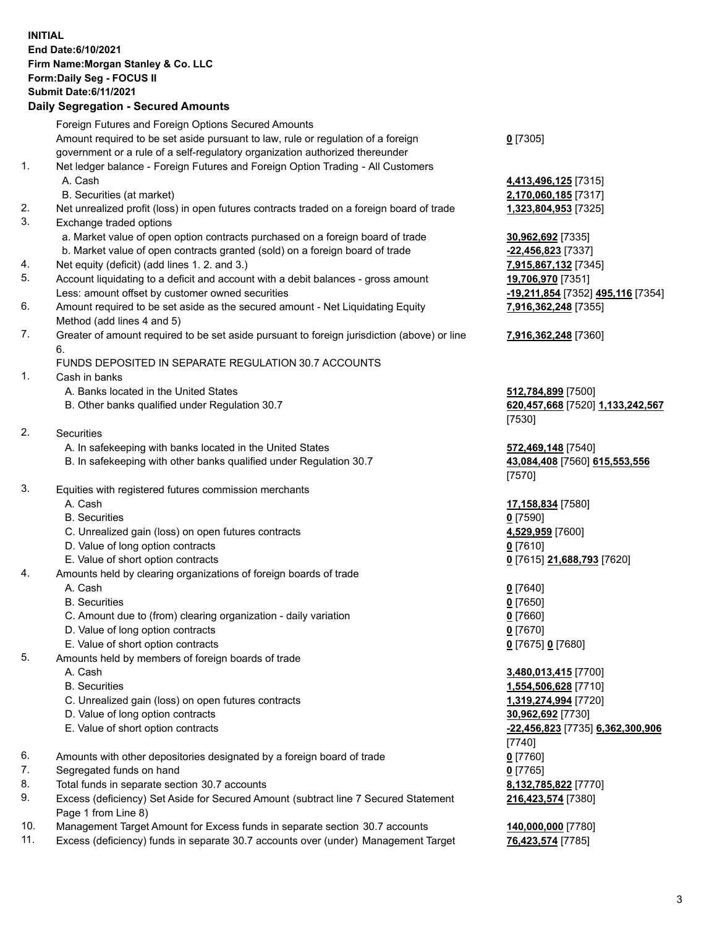## **INITIAL End Date:6/10/2021 Firm Name:Morgan Stanley & Co. LLC Form:Daily Seg - FOCUS II Submit Date:6/11/2021**

## **Daily Segregation - Secured Amounts**

|    | Foreign Futures and Foreign Options Secured Amounts                                         |                                   |
|----|---------------------------------------------------------------------------------------------|-----------------------------------|
|    | Amount required to be set aside pursuant to law, rule or regulation of a foreign            | $0$ [7305]                        |
|    | government or a rule of a self-regulatory organization authorized thereunder                |                                   |
| 1. | Net ledger balance - Foreign Futures and Foreign Option Trading - All Customers             |                                   |
|    | A. Cash                                                                                     | 4,413,496,125 [7315]              |
|    | B. Securities (at market)                                                                   | 2,170,060,185 [7317]              |
| 2. | Net unrealized profit (loss) in open futures contracts traded on a foreign board of trade   | 1,323,804,953 [7325]              |
| 3. | Exchange traded options                                                                     |                                   |
|    | a. Market value of open option contracts purchased on a foreign board of trade              | 30,962,692 [7335]                 |
|    | b. Market value of open contracts granted (sold) on a foreign board of trade                | -22,456,823 [7337]                |
| 4. | Net equity (deficit) (add lines 1. 2. and 3.)                                               | 7,915,867,132 [7345]              |
| 5. | Account liquidating to a deficit and account with a debit balances - gross amount           | 19,706,970 [7351]                 |
|    | Less: amount offset by customer owned securities                                            | -19,211,854 [7352] 495,116 [7354] |
| 6. | Amount required to be set aside as the secured amount - Net Liquidating Equity              | 7,916,362,248 [7355]              |
|    | Method (add lines 4 and 5)                                                                  |                                   |
| 7. | Greater of amount required to be set aside pursuant to foreign jurisdiction (above) or line | 7,916,362,248 [7360]              |
|    | 6.                                                                                          |                                   |
|    | FUNDS DEPOSITED IN SEPARATE REGULATION 30.7 ACCOUNTS                                        |                                   |
| 1. | Cash in banks                                                                               |                                   |
|    | A. Banks located in the United States                                                       | 512,784,899 [7500]                |
|    | B. Other banks qualified under Regulation 30.7                                              | 620,457,668 [7520] 1,133,242,567  |
|    |                                                                                             | [7530]                            |
| 2. | <b>Securities</b>                                                                           |                                   |
|    | A. In safekeeping with banks located in the United States                                   | 572,469,148 [7540]                |
|    | B. In safekeeping with other banks qualified under Regulation 30.7                          | 43,084,408 [7560] 615,553,556     |
|    |                                                                                             | [7570]                            |
| 3. | Equities with registered futures commission merchants                                       |                                   |
|    | A. Cash                                                                                     | 17,158,834 [7580]                 |
|    | <b>B.</b> Securities                                                                        | $0$ [7590]                        |
|    | C. Unrealized gain (loss) on open futures contracts                                         | 4,529,959 [7600]                  |
|    | D. Value of long option contracts                                                           | $0$ [7610]                        |
|    | E. Value of short option contracts                                                          | 0 [7615] 21,688,793 [7620]        |
| 4. | Amounts held by clearing organizations of foreign boards of trade                           |                                   |
|    | A. Cash                                                                                     | $0$ [7640]                        |
|    | <b>B.</b> Securities                                                                        | $0$ [7650]                        |
|    | C. Amount due to (from) clearing organization - daily variation                             | $0$ [7660]                        |
|    | D. Value of long option contracts                                                           | $0$ [7670]                        |
|    | E. Value of short option contracts                                                          | 0 [7675] 0 [7680]                 |
| 5. | Amounts held by members of foreign boards of trade                                          |                                   |
|    | A. Cash                                                                                     | 3,480,013,415 [7700]              |
|    | <b>B.</b> Securities                                                                        | 1,554,506,628 [7710]              |
|    | C. Unrealized gain (loss) on open futures contracts                                         | 1,319,274,994 [7720]              |
|    | D. Value of long option contracts                                                           | 30,962,692 [7730]                 |
|    | E. Value of short option contracts                                                          | -22,456,823 [7735] 6,362,300,906  |
|    |                                                                                             | [7740]                            |
| 6. | Amounts with other depositories designated by a foreign board of trade                      | $0$ [7760]                        |
| 7. | Segregated funds on hand                                                                    | $0$ [7765]                        |
| 8. | Total funds in separate section 30.7 accounts                                               | 8,132,785,822 [7770]              |
| 9. | Excess (deficiency) Set Aside for Secured Amount (subtract line 7 Secured Statement         | 216,423,574 [7380]                |
|    | Page 1 from Line 8)                                                                         |                                   |

- 10. Management Target Amount for Excess funds in separate section 30.7 accounts **140,000,000** [7780]
- 11. Excess (deficiency) funds in separate 30.7 accounts over (under) Management Target **76,423,574** [7785]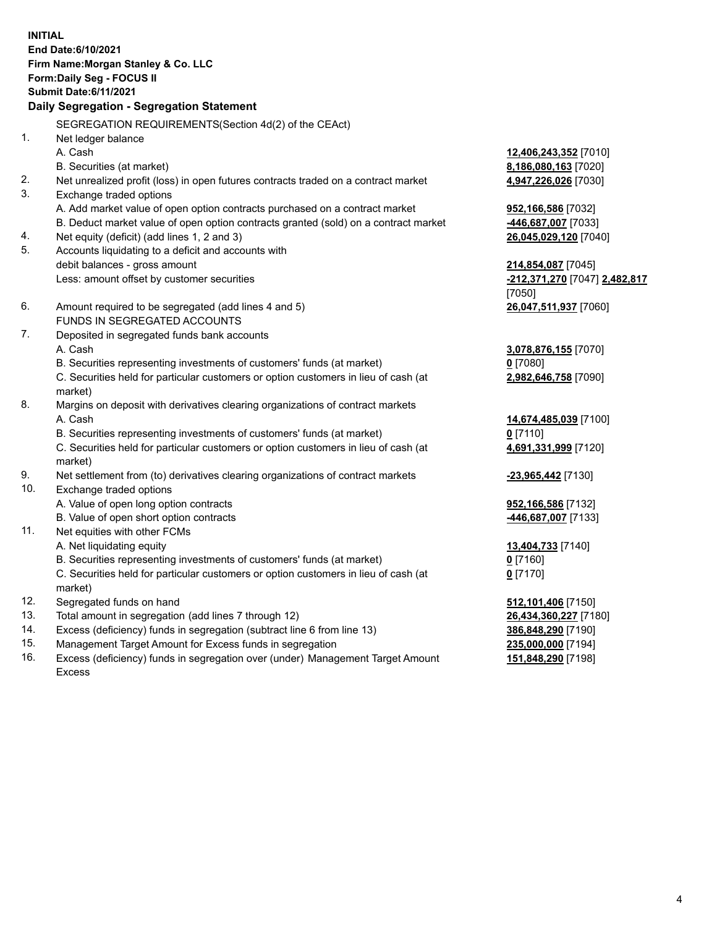**INITIAL End Date:6/10/2021 Firm Name:Morgan Stanley & Co. LLC Form:Daily Seg - FOCUS II Submit Date:6/11/2021 Daily Segregation - Segregation Statement** SEGREGATION REQUIREMENTS(Section 4d(2) of the CEAct) 1. Net ledger balance A. Cash **12,406,243,352** [7010] B. Securities (at market) **8,186,080,163** [7020] 2. Net unrealized profit (loss) in open futures contracts traded on a contract market **4,947,226,026** [7030] 3. Exchange traded options A. Add market value of open option contracts purchased on a contract market **952,166,586** [7032] B. Deduct market value of open option contracts granted (sold) on a contract market **-446,687,007** [7033] 4. Net equity (deficit) (add lines 1, 2 and 3) **26,045,029,120** [7040] 5. Accounts liquidating to a deficit and accounts with debit balances - gross amount **214,854,087** [7045] Less: amount offset by customer securities **-212,371,270** [7047] **2,482,817** [7050] 6. Amount required to be segregated (add lines 4 and 5) **26,047,511,937** [7060] FUNDS IN SEGREGATED ACCOUNTS 7. Deposited in segregated funds bank accounts A. Cash **3,078,876,155** [7070] B. Securities representing investments of customers' funds (at market) **0** [7080] C. Securities held for particular customers or option customers in lieu of cash (at market) **2,982,646,758** [7090] 8. Margins on deposit with derivatives clearing organizations of contract markets A. Cash **14,674,485,039** [7100] B. Securities representing investments of customers' funds (at market) **0** [7110] C. Securities held for particular customers or option customers in lieu of cash (at market) **4,691,331,999** [7120] 9. Net settlement from (to) derivatives clearing organizations of contract markets **-23,965,442** [7130] 10. Exchange traded options A. Value of open long option contracts **952,166,586** [7132] B. Value of open short option contracts **-446,687,007** [7133] 11. Net equities with other FCMs A. Net liquidating equity **13,404,733** [7140] B. Securities representing investments of customers' funds (at market) **0** [7160] C. Securities held for particular customers or option customers in lieu of cash (at market) **0** [7170] 12. Segregated funds on hand **512,101,406** [7150] 13. Total amount in segregation (add lines 7 through 12) **26,434,360,227** [7180] 14. Excess (deficiency) funds in segregation (subtract line 6 from line 13) **386,848,290** [7190] 15. Management Target Amount for Excess funds in segregation **235,000,000** [7194]

16. Excess (deficiency) funds in segregation over (under) Management Target Amount Excess

**151,848,290** [7198]